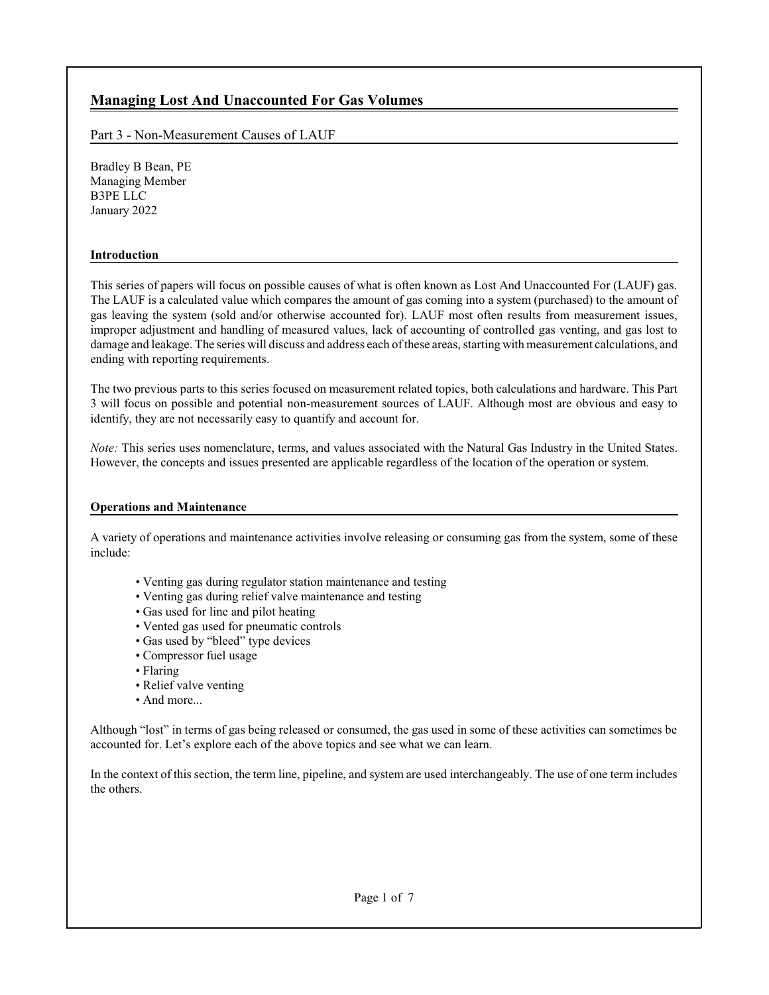# **Managing Lost And Unaccounted For Gas Volumes**

Part 3 - Non-Measurement Causes of LAUF

Bradley B Bean, PE Managing Member B3PE LLC January 2022

# **Introduction**

This series of papers will focus on possible causes of what is often known as Lost And Unaccounted For (LAUF) gas. The LAUF is a calculated value which compares the amount of gas coming into a system (purchased) to the amount of gas leaving the system (sold and/or otherwise accounted for). LAUF most often results from measurement issues, improper adjustment and handling of measured values, lack of accounting of controlled gas venting, and gas lost to damage and leakage. The series will discuss and address each ofthese areas, starting with measurement calculations, and ending with reporting requirements.

The two previous parts to this series focused on measurement related topics, both calculations and hardware. This Part 3 will focus on possible and potential non-measurement sources of LAUF. Although most are obvious and easy to identify, they are not necessarily easy to quantify and account for.

*Note:* This series uses nomenclature, terms, and values associated with the Natural Gas Industry in the United States. However, the concepts and issues presented are applicable regardless of the location of the operation or system.

# **Operations and Maintenance**

A variety of operations and maintenance activities involve releasing or consuming gas from the system, some of these include:

- Venting gas during regulator station maintenance and testing
- Venting gas during relief valve maintenance and testing
- Gas used for line and pilot heating
- Vented gas used for pneumatic controls
- Gas used by "bleed" type devices
- Compressor fuel usage
- Flaring
- Relief valve venting
- And more...

Although "lost" in terms of gas being released or consumed, the gas used in some of these activities can sometimes be accounted for. Let's explore each of the above topics and see what we can learn.

In the context of this section, the term line, pipeline, and system are used interchangeably. The use of one term includes the others.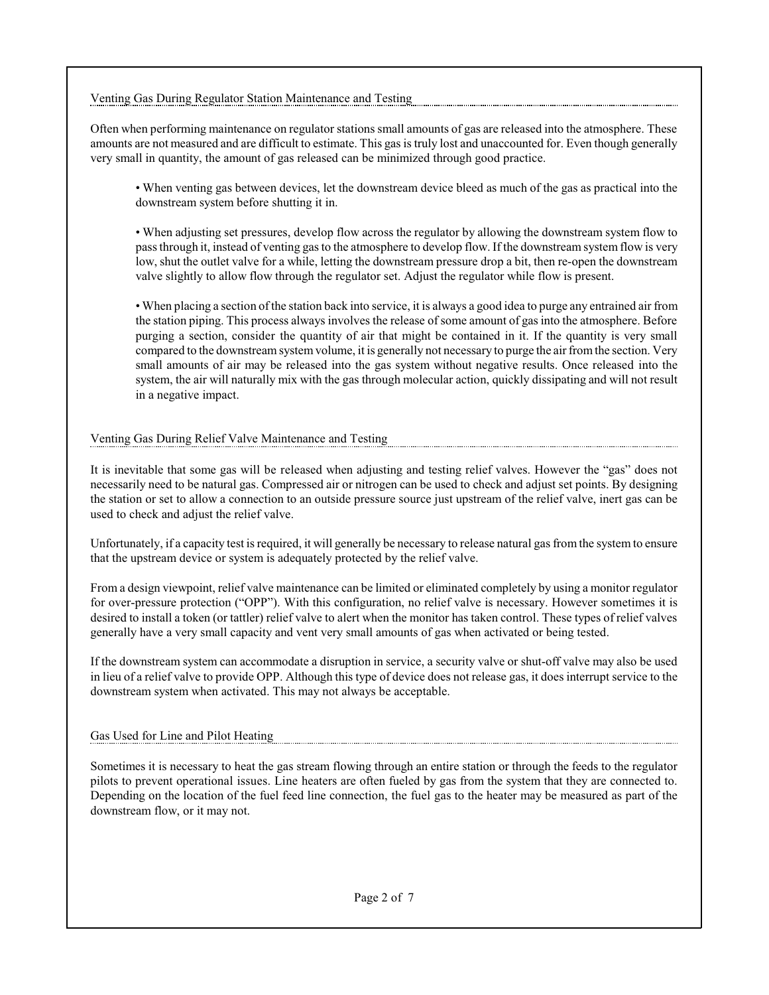## Venting Gas During Regulator Station Maintenance and Testing

Often when performing maintenance on regulator stations small amounts of gas are released into the atmosphere. These amounts are not measured and are difficult to estimate. This gas is truly lost and unaccounted for. Even though generally very small in quantity, the amount of gas released can be minimized through good practice.

• When venting gas between devices, let the downstream device bleed as much of the gas as practical into the downstream system before shutting it in.

• When adjusting set pressures, develop flow across the regulator by allowing the downstream system flow to pass through it, instead of venting gas to the atmosphere to develop flow. If the downstream system flow is very low, shut the outlet valve for a while, letting the downstream pressure drop a bit, then re-open the downstream valve slightly to allow flow through the regulator set. Adjust the regulator while flow is present.

• When placing a section of the station back into service, it is always a good idea to purge any entrained air from the station piping. This process always involves the release of some amount of gas into the atmosphere. Before purging a section, consider the quantity of air that might be contained in it. If the quantity is very small compared to the downstreamsystemvolume, it is generally not necessary to purge the air fromthe section. Very small amounts of air may be released into the gas system without negative results. Once released into the system, the air will naturally mix with the gas through molecular action, quickly dissipating and will not result in a negative impact.

# Venting Gas During Relief Valve Maintenance and Testing

It is inevitable that some gas will be released when adjusting and testing relief valves. However the "gas" does not necessarily need to be natural gas. Compressed air or nitrogen can be used to check and adjust set points. By designing the station or set to allow a connection to an outside pressure source just upstream of the relief valve, inert gas can be used to check and adjust the relief valve.

Unfortunately, if a capacity test is required, it will generally be necessary to release natural gas from the system to ensure that the upstream device or system is adequately protected by the relief valve.

From a design viewpoint, relief valve maintenance can be limited or eliminated completely by using a monitor regulator for over-pressure protection ("OPP"). With this configuration, no relief valve is necessary. However sometimes it is desired to install a token (or tattler) relief valve to alert when the monitor has taken control. These types of relief valves generally have a very small capacity and vent very small amounts of gas when activated or being tested.

If the downstream system can accommodate a disruption in service, a security valve or shut-off valve may also be used in lieu of a relief valve to provide OPP. Although this type of device does not release gas, it does interrupt service to the downstream system when activated. This may not always be acceptable.

#### Gas Used for Line and Pilot Heating

Sometimes it is necessary to heat the gas stream flowing through an entire station or through the feeds to the regulator pilots to prevent operational issues. Line heaters are often fueled by gas from the system that they are connected to. Depending on the location of the fuel feed line connection, the fuel gas to the heater may be measured as part of the downstream flow, or it may not.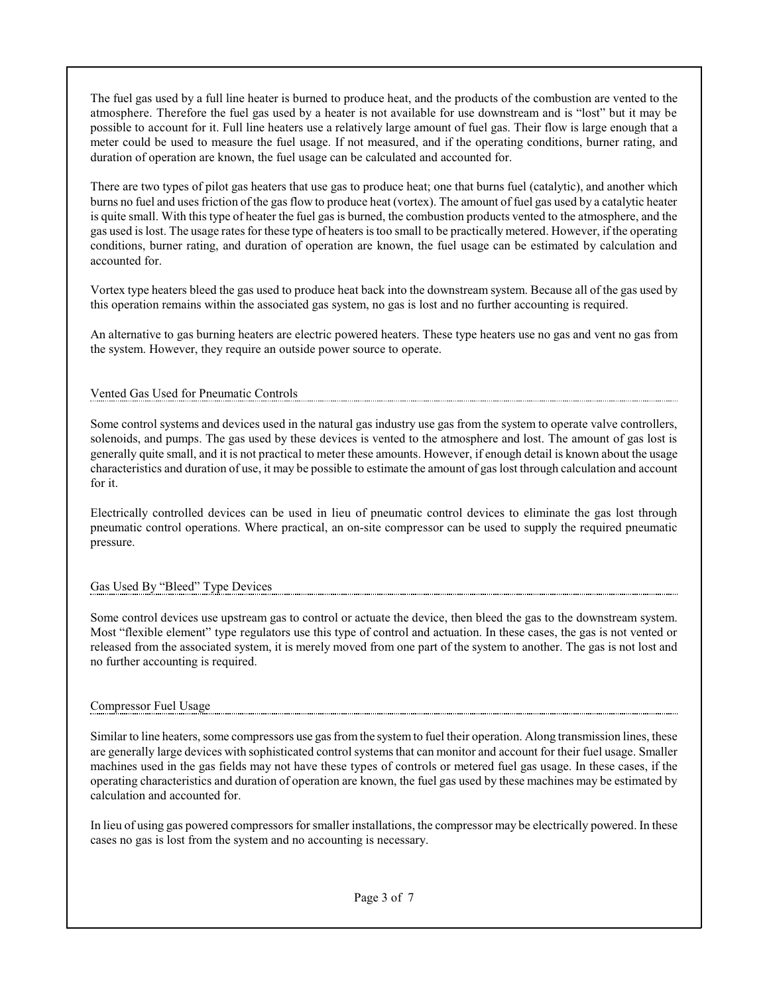The fuel gas used by a full line heater is burned to produce heat, and the products of the combustion are vented to the atmosphere. Therefore the fuel gas used by a heater is not available for use downstream and is "lost" but it may be possible to account for it. Full line heaters use a relatively large amount of fuel gas. Their flow is large enough that a meter could be used to measure the fuel usage. If not measured, and if the operating conditions, burner rating, and duration of operation are known, the fuel usage can be calculated and accounted for.

There are two types of pilot gas heaters that use gas to produce heat; one that burns fuel (catalytic), and another which burns no fuel and uses friction of the gas flow to produce heat (vortex). The amount of fuel gas used by a catalytic heater is quite small. With this type of heater the fuel gas is burned, the combustion products vented to the atmosphere, and the gas used is lost. The usage rates for these type of heaters istoo small to be practically metered. However, if the operating conditions, burner rating, and duration of operation are known, the fuel usage can be estimated by calculation and accounted for.

Vortex type heaters bleed the gas used to produce heat back into the downstream system. Because all of the gas used by this operation remains within the associated gas system, no gas is lost and no further accounting is required.

An alternative to gas burning heaters are electric powered heaters. These type heaters use no gas and vent no gas from the system. However, they require an outside power source to operate.

## Vented Gas Used for Pneumatic Controls

Some control systems and devices used in the natural gas industry use gas from the system to operate valve controllers, solenoids, and pumps. The gas used by these devices is vented to the atmosphere and lost. The amount of gas lost is generally quite small, and it is not practical to meter these amounts. However, if enough detail is known about the usage characteristics and duration of use, it may be possible to estimate the amount of gas lost through calculation and account for it.

Electrically controlled devices can be used in lieu of pneumatic control devices to eliminate the gas lost through pneumatic control operations. Where practical, an on-site compressor can be used to supply the required pneumatic pressure.

#### Gas Used By "Bleed" Type Devices

Some control devices use upstream gas to control or actuate the device, then bleed the gas to the downstream system. Most "flexible element" type regulators use this type of control and actuation. In these cases, the gas is not vented or released from the associated system, it is merely moved from one part of the system to another. The gas is not lost and no further accounting is required.

#### Compressor Fuel Usage

Similar to line heaters, some compressors use gas fromthe systemto fuel their operation. Along transmission lines, these are generally large devices with sophisticated control systems that can monitor and account for their fuel usage. Smaller machines used in the gas fields may not have these types of controls or metered fuel gas usage. In these cases, if the operating characteristics and duration of operation are known, the fuel gas used by these machines may be estimated by calculation and accounted for.

In lieu of using gas powered compressors for smaller installations, the compressor may be electrically powered. In these cases no gas is lost from the system and no accounting is necessary.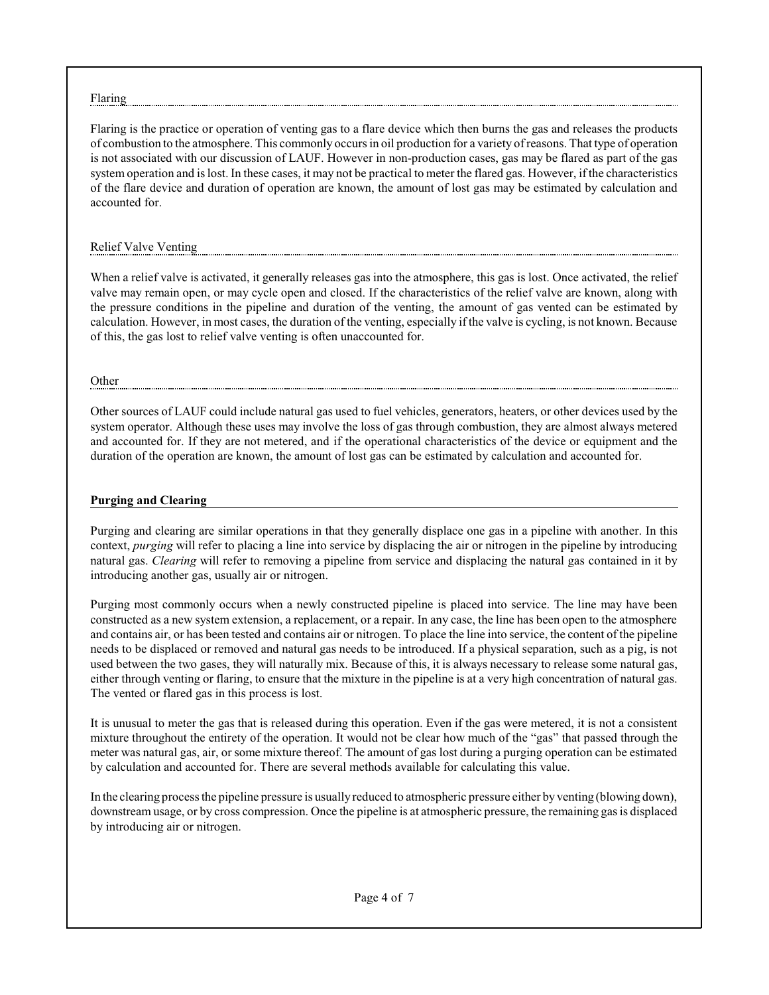#### Flaring

Flaring is the practice or operation of venting gas to a flare device which then burns the gas and releases the products of combustion to the atmosphere. This commonly occurs in oil production for a variety ofreasons. That type of operation is not associated with our discussion of LAUF. However in non-production cases, gas may be flared as part of the gas system operation and is lost. In these cases, it may not be practical to meter the flared gas. However, if the characteristics of the flare device and duration of operation are known, the amount of lost gas may be estimated by calculation and accounted for.

#### Relief Valve Venting

When a relief valve is activated, it generally releases gas into the atmosphere, this gas is lost. Once activated, the relief valve may remain open, or may cycle open and closed. If the characteristics of the relief valve are known, along with the pressure conditions in the pipeline and duration of the venting, the amount of gas vented can be estimated by calculation. However, in most cases, the duration of the venting, especially if the valve is cycling, is not known. Because of this, the gas lost to relief valve venting is often unaccounted for.

#### Other

Other sources of LAUF could include natural gas used to fuel vehicles, generators, heaters, or other devices used by the system operator. Although these uses may involve the loss of gas through combustion, they are almost always metered and accounted for. If they are not metered, and if the operational characteristics of the device or equipment and the duration of the operation are known, the amount of lost gas can be estimated by calculation and accounted for.

#### **Purging and Clearing**

Purging and clearing are similar operations in that they generally displace one gas in a pipeline with another. In this context, *purging* will refer to placing a line into service by displacing the air or nitrogen in the pipeline by introducing natural gas. *Clearing* will refer to removing a pipeline from service and displacing the natural gas contained in it by introducing another gas, usually air or nitrogen.

Purging most commonly occurs when a newly constructed pipeline is placed into service. The line may have been constructed as a new system extension, a replacement, or a repair. In any case, the line has been open to the atmosphere and contains air, or has been tested and contains air or nitrogen. To place the line into service, the content of the pipeline needs to be displaced or removed and natural gas needs to be introduced. If a physical separation, such as a pig, is not used between the two gases, they will naturally mix. Because of this, it is always necessary to release some natural gas, either through venting or flaring, to ensure that the mixture in the pipeline is at a very high concentration of natural gas. The vented or flared gas in this process is lost.

It is unusual to meter the gas that is released during this operation. Even if the gas were metered, it is not a consistent mixture throughout the entirety of the operation. It would not be clear how much of the "gas" that passed through the meter was natural gas, air, or some mixture thereof. The amount of gas lost during a purging operation can be estimated by calculation and accounted for. There are several methods available for calculating this value.

In the clearing process the pipeline pressure is usually reduced to atmospheric pressure either by venting (blowing down), downstream usage, or by cross compression. Once the pipeline is at atmospheric pressure, the remaining gas is displaced by introducing air or nitrogen.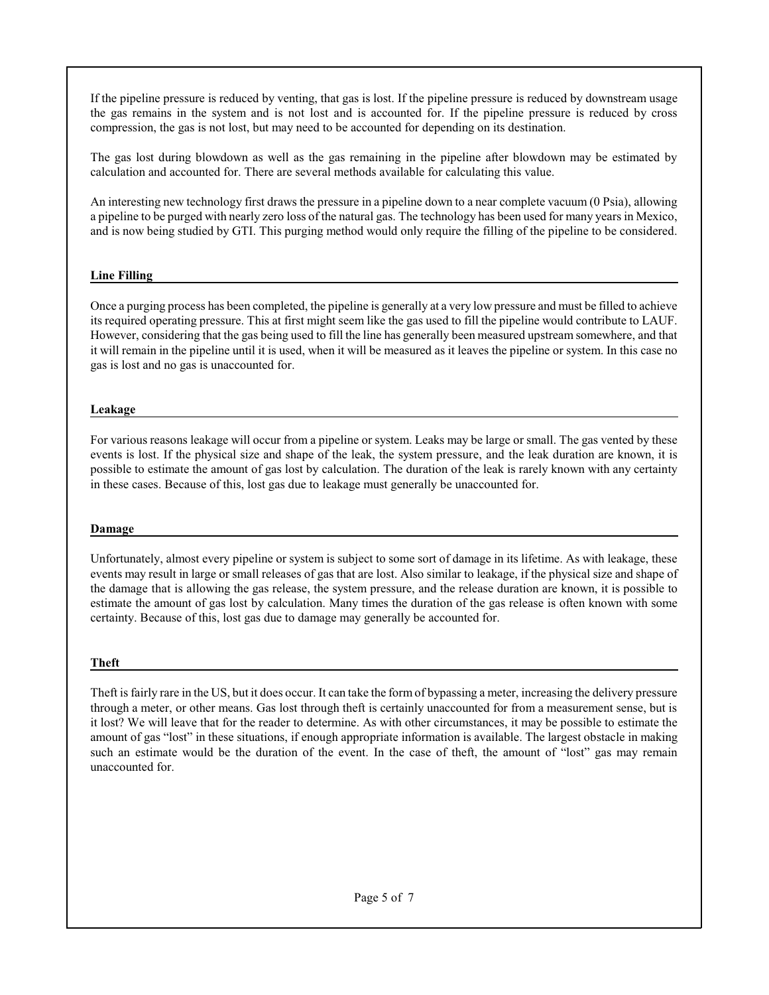If the pipeline pressure is reduced by venting, that gas is lost. If the pipeline pressure is reduced by downstream usage the gas remains in the system and is not lost and is accounted for. If the pipeline pressure is reduced by cross compression, the gas is not lost, but may need to be accounted for depending on its destination.

The gas lost during blowdown as well as the gas remaining in the pipeline after blowdown may be estimated by calculation and accounted for. There are several methods available for calculating this value.

An interesting new technology first draws the pressure in a pipeline down to a near complete vacuum (0 Psia), allowing a pipeline to be purged with nearly zero loss of the natural gas. The technology has been used for many years in Mexico, and is now being studied by GTI. This purging method would only require the filling of the pipeline to be considered.

## **Line Filling**

Once a purging process has been completed, the pipeline is generally at a very low pressure and must be filled to achieve its required operating pressure. This at first might seem like the gas used to fill the pipeline would contribute to LAUF. However, considering that the gas being used to fill the line has generally been measured upstream somewhere, and that it will remain in the pipeline until it is used, when it will be measured as it leaves the pipeline or system. In this case no gas is lost and no gas is unaccounted for.

## **Leakage**

For various reasons leakage will occur from a pipeline or system. Leaks may be large or small. The gas vented by these events is lost. If the physical size and shape of the leak, the system pressure, and the leak duration are known, it is possible to estimate the amount of gas lost by calculation. The duration of the leak is rarely known with any certainty in these cases. Because of this, lost gas due to leakage must generally be unaccounted for.

#### **Damage**

Unfortunately, almost every pipeline or system is subject to some sort of damage in its lifetime. As with leakage, these events may result in large or small releases of gas that are lost. Also similar to leakage, if the physical size and shape of the damage that is allowing the gas release, the system pressure, and the release duration are known, it is possible to estimate the amount of gas lost by calculation. Many times the duration of the gas release is often known with some certainty. Because of this, lost gas due to damage may generally be accounted for.

# **Theft**

Theft is fairly rare in the US, but it does occur. It can take the form of bypassing a meter, increasing the delivery pressure through a meter, or other means. Gas lost through theft is certainly unaccounted for from a measurement sense, but is it lost? We will leave that for the reader to determine. As with other circumstances, it may be possible to estimate the amount of gas "lost" in these situations, if enough appropriate information is available. The largest obstacle in making such an estimate would be the duration of the event. In the case of theft, the amount of "lost" gas may remain unaccounted for.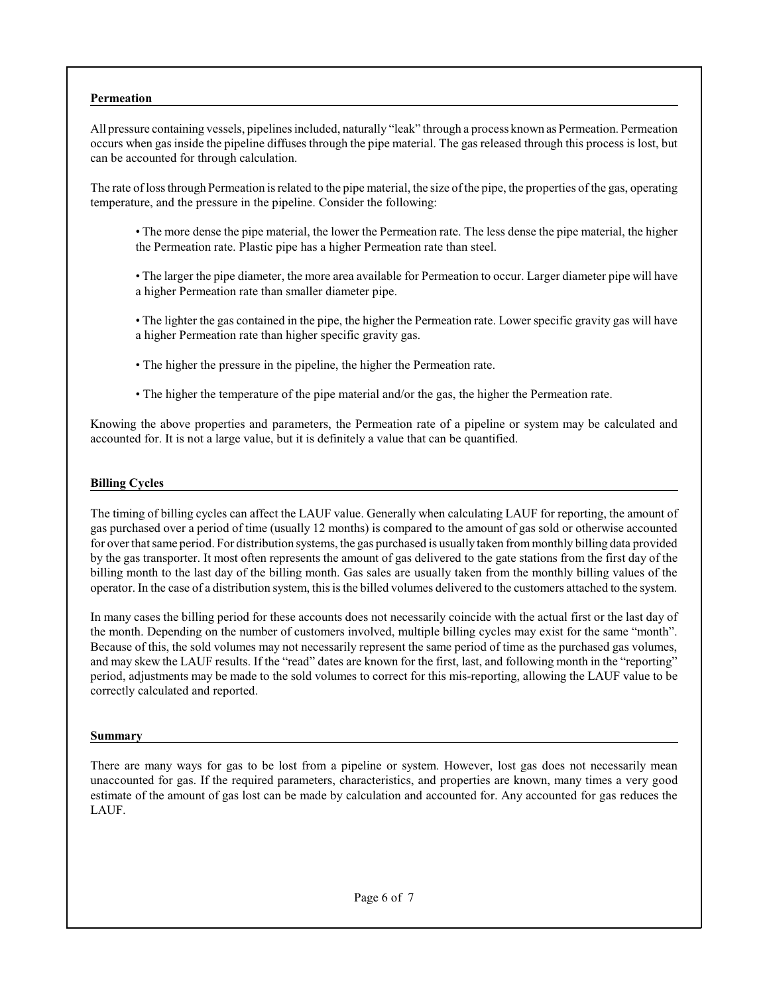#### **Permeation**

All pressure containing vessels, pipelines included, naturally "leak" through a process known as Permeation. Permeation occurs when gas inside the pipeline diffuses through the pipe material. The gas released through this process is lost, but can be accounted for through calculation.

The rate of loss through Permeation is related to the pipe material, the size of the pipe, the properties of the gas, operating temperature, and the pressure in the pipeline. Consider the following:

- The more dense the pipe material, the lower the Permeation rate. The less dense the pipe material, the higher the Permeation rate. Plastic pipe has a higher Permeation rate than steel.
- The larger the pipe diameter, the more area available for Permeation to occur. Larger diameter pipe will have a higher Permeation rate than smaller diameter pipe.
- The lighter the gas contained in the pipe, the higher the Permeation rate. Lower specific gravity gas will have a higher Permeation rate than higher specific gravity gas.
- The higher the pressure in the pipeline, the higher the Permeation rate.
- The higher the temperature of the pipe material and/or the gas, the higher the Permeation rate.

Knowing the above properties and parameters, the Permeation rate of a pipeline or system may be calculated and accounted for. It is not a large value, but it is definitely a value that can be quantified.

#### **Billing Cycles**

The timing of billing cycles can affect the LAUF value. Generally when calculating LAUF for reporting, the amount of gas purchased over a period of time (usually 12 months) is compared to the amount of gas sold or otherwise accounted for over that same period. For distribution systems, the gas purchased is usually taken frommonthly billing data provided by the gas transporter. It most often represents the amount of gas delivered to the gate stations from the first day of the billing month to the last day of the billing month. Gas sales are usually taken from the monthly billing values of the operator. In the case of a distribution system, this is the billed volumes delivered to the customers attached to the system.

In many cases the billing period for these accounts does not necessarily coincide with the actual first or the last day of the month. Depending on the number of customers involved, multiple billing cycles may exist for the same "month". Because of this, the sold volumes may not necessarily represent the same period of time as the purchased gas volumes, and may skew the LAUF results. If the "read" dates are known for the first, last, and following month in the "reporting" period, adjustments may be made to the sold volumes to correct for this mis-reporting, allowing the LAUF value to be correctly calculated and reported.

#### **Summary**

There are many ways for gas to be lost from a pipeline or system. However, lost gas does not necessarily mean unaccounted for gas. If the required parameters, characteristics, and properties are known, many times a very good estimate of the amount of gas lost can be made by calculation and accounted for. Any accounted for gas reduces the LAUF.